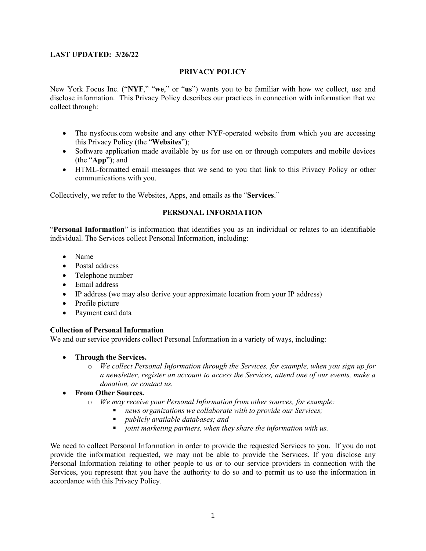# **LAST UPDATED: 3/26/22**

### **PRIVACY POLICY**

New York Focus Inc. ("**NYF**," "**we**," or "**us**") wants you to be familiar with how we collect, use and disclose information. This Privacy Policy describes our practices in connection with information that we collect through:

- The nysfocus.com website and any other NYF-operated website from which you are accessing this Privacy Policy (the "**Websites**");
- Software application made available by us for use on or through computers and mobile devices (the "**App**"); and
- HTML-formatted email messages that we send to you that link to this Privacy Policy or other communications with you.

Collectively, we refer to the Websites, Apps, and emails as the "**Services**."

# **PERSONAL INFORMATION**

"**Personal Information**" is information that identifies you as an individual or relates to an identifiable individual. The Services collect Personal Information, including:

- Name
- Postal address
- Telephone number
- Email address
- IP address (we may also derive your approximate location from your IP address)
- Profile picture
- Payment card data

## **Collection of Personal Information**

We and our service providers collect Personal Information in a variety of ways, including:

- **Through the Services.**
	- o *We collect Personal Information through the Services, for example, when you sign up for a newsletter, register an account to access the Services, attend one of our events, make a donation, or contact us.*
- **From Other Sources.**
	- o *We may receive your Personal Information from other sources, for example:*
		- *news organizations we collaborate with to provide our Services;* 
			- § *publicly available databases; and*
		- § *joint marketing partners, when they share the information with us.*

We need to collect Personal Information in order to provide the requested Services to you. If you do not provide the information requested, we may not be able to provide the Services. If you disclose any Personal Information relating to other people to us or to our service providers in connection with the Services, you represent that you have the authority to do so and to permit us to use the information in accordance with this Privacy Policy.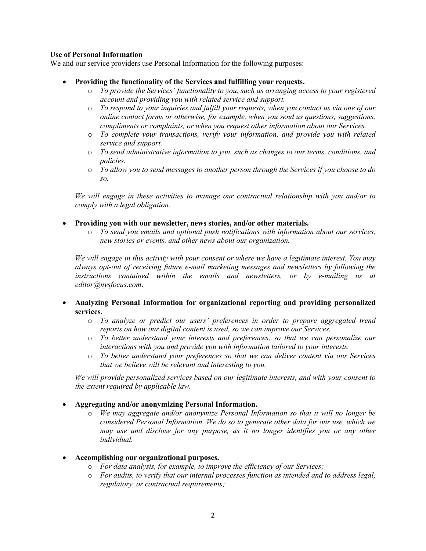## **Use of Personal Information**

We and our service providers use Personal Information for the following purposes:

- **Providing the functionality of the Services and fulfilling your requests.** 
	- o *To provide the Services' functionality to you, such as arranging access to your registered account and providing you with related service and support.*
	- o *To respond to your inquiries and fulfill your requests, when you contact us via one of our online contact forms or otherwise, for example, when you send us questions, suggestions, compliments or complaints, or when you request other information about our Services.*
	- o *To complete your transactions, verify your information, and provide you with related service and support.*
	- o *To send administrative information to you, such as changes to our terms, conditions, and policies.*
	- o *To allow you to send messages to another person through the Services if you choose to do so.*

*We will engage in these activities to manage our contractual relationship with you and/or to comply with a legal obligation.* 

- **Providing you with our newsletter, news stories, and/or other materials.**
	- o *To send you emails and optional push notifications with information about our services, new stories or events, and other news about our organization.*

*We will engage in this activity with your consent or where we have a legitimate interest. You may always opt-out of receiving future e-mail marketing messages and newsletters by following the instructions contained within the emails and newsletters, or by e-mailing us at editor@nysfocus.com*.

- **Analyzing Personal Information for organizational reporting and providing personalized services.** 
	- o *To analyze or predict our users' preferences in order to prepare aggregated trend reports on how our digital content is used, so we can improve our Services.*
	- o *To better understand your interests and preferences, so that we can personalize our interactions with you and provide you with information tailored to your interests.*
	- o *To better understand your preferences so that we can deliver content via our Services that we believe will be relevant and interesting to you.*

*We will provide personalized services based on our legitimate interests, and with your consent to the extent required by applicable law.* 

## • **Aggregating and/or anonymizing Personal Information.**

o *We may aggregate and/or anonymize Personal Information so that it will no longer be considered Personal Information. We do so to generate other data for our use, which we may use and disclose for any purpose, as it no longer identifies you or any other individual.* 

## • **Accomplishing our organizational purposes.**

- o *For data analysis, for example, to improve the efficiency of our Services;*
- o *For audits, to verify that our internal processes function as intended and to address legal, regulatory, or contractual requirements;*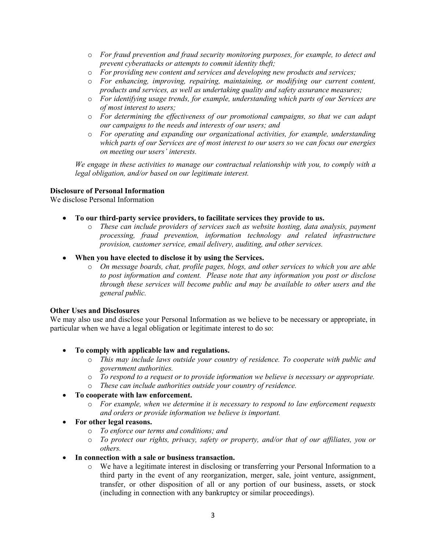- o *For fraud prevention and fraud security monitoring purposes, for example, to detect and prevent cyberattacks or attempts to commit identity theft;*
- o *For providing new content and services and developing new products and services;*
- o *For enhancing, improving, repairing, maintaining, or modifying our current content, products and services, as well as undertaking quality and safety assurance measures;*
- o *For identifying usage trends, for example, understanding which parts of our Services are of most interest to users;*
- o *For determining the effectiveness of our promotional campaigns, so that we can adapt our campaigns to the needs and interests of our users; and*
- o *For operating and expanding our organizational activities, for example, understanding which parts of our Services are of most interest to our users so we can focus our energies on meeting our users' interests.*

*We engage in these activities to manage our contractual relationship with you, to comply with a legal obligation, and/or based on our legitimate interest.*

### **Disclosure of Personal Information**

We disclose Personal Information

- **To our third-party service providers, to facilitate services they provide to us.**
	- o *These can include providers of services such as website hosting, data analysis, payment processing, fraud prevention, information technology and related infrastructure provision, customer service, email delivery, auditing, and other services.*
- **When you have elected to disclose it by using the Services.**
	- o *On message boards, chat, profile pages, blogs, and other services to which you are able to post information and content. Please note that any information you post or disclose through these services will become public and may be available to other users and the general public.*

### **Other Uses and Disclosures**

We may also use and disclose your Personal Information as we believe to be necessary or appropriate, in particular when we have a legal obligation or legitimate interest to do so:

- **To comply with applicable law and regulations.**
	- o *This may include laws outside your country of residence. To cooperate with public and government authorities.*
	- o *To respond to a request or to provide information we believe is necessary or appropriate.*
	- o *These can include authorities outside your country of residence.*
- **To cooperate with law enforcement.**
	- o *For example, when we determine it is necessary to respond to law enforcement requests and orders or provide information we believe is important.*
- **For other legal reasons.** 
	- o *To enforce our terms and conditions; and*
	- o *To protect our rights, privacy, safety or property, and/or that of our affiliates, you or others.*
- **In connection with a sale or business transaction.**
	- o We have a legitimate interest in disclosing or transferring your Personal Information to a third party in the event of any reorganization, merger, sale, joint venture, assignment, transfer, or other disposition of all or any portion of our business, assets, or stock (including in connection with any bankruptcy or similar proceedings).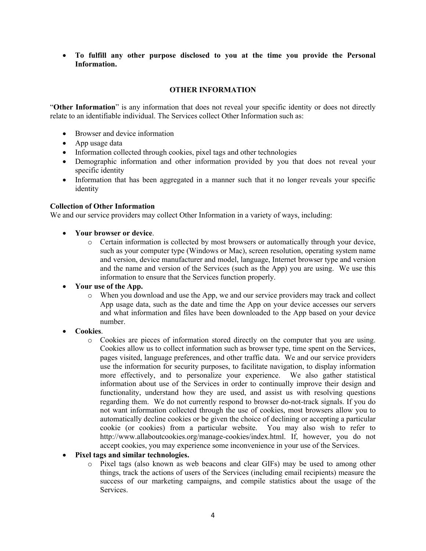• **To fulfill any other purpose disclosed to you at the time you provide the Personal Information.**

# **OTHER INFORMATION**

"**Other Information**" is any information that does not reveal your specific identity or does not directly relate to an identifiable individual. The Services collect Other Information such as:

- Browser and device information
- App usage data
- Information collected through cookies, pixel tags and other technologies
- Demographic information and other information provided by you that does not reveal your specific identity
- Information that has been aggregated in a manner such that it no longer reveals your specific identity

### **Collection of Other Information**

We and our service providers may collect Other Information in a variety of ways, including:

- **Your browser or device**.
	- o Certain information is collected by most browsers or automatically through your device, such as your computer type (Windows or Mac), screen resolution, operating system name and version, device manufacturer and model, language, Internet browser type and version and the name and version of the Services (such as the App) you are using. We use this information to ensure that the Services function properly.
- **Your use of the App.**
	- o When you download and use the App, we and our service providers may track and collect App usage data, such as the date and time the App on your device accesses our servers and what information and files have been downloaded to the App based on your device number.
- **Cookies**.
	- o Cookies are pieces of information stored directly on the computer that you are using. Cookies allow us to collect information such as browser type, time spent on the Services, pages visited, language preferences, and other traffic data. We and our service providers use the information for security purposes, to facilitate navigation, to display information more effectively, and to personalize your experience. We also gather statistical information about use of the Services in order to continually improve their design and functionality, understand how they are used, and assist us with resolving questions regarding them. We do not currently respond to browser do-not-track signals. If you do not want information collected through the use of cookies, most browsers allow you to automatically decline cookies or be given the choice of declining or accepting a particular cookie (or cookies) from a particular website. You may also wish to refer to http://www.allaboutcookies.org/manage-cookies/index.html. If, however, you do not accept cookies, you may experience some inconvenience in your use of the Services.

# • **Pixel tags and similar technologies.**

o Pixel tags (also known as web beacons and clear GIFs) may be used to among other things, track the actions of users of the Services (including email recipients) measure the success of our marketing campaigns, and compile statistics about the usage of the Services.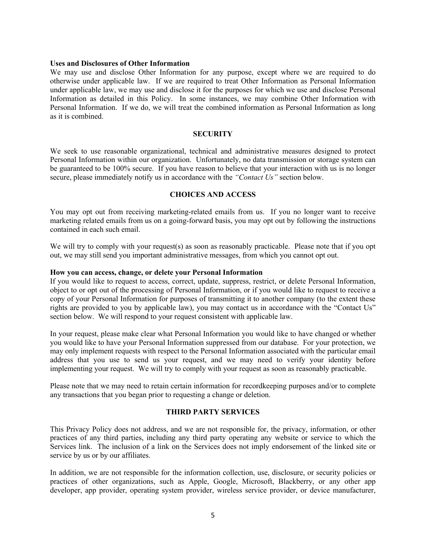#### **Uses and Disclosures of Other Information**

We may use and disclose Other Information for any purpose, except where we are required to do otherwise under applicable law. If we are required to treat Other Information as Personal Information under applicable law, we may use and disclose it for the purposes for which we use and disclose Personal Information as detailed in this Policy. In some instances, we may combine Other Information with Personal Information. If we do, we will treat the combined information as Personal Information as long as it is combined.

### **SECURITY**

We seek to use reasonable organizational, technical and administrative measures designed to protect Personal Information within our organization. Unfortunately, no data transmission or storage system can be guaranteed to be 100% secure. If you have reason to believe that your interaction with us is no longer secure, please immediately notify us in accordance with the *"Contact Us"* section below.

#### **CHOICES AND ACCESS**

You may opt out from receiving marketing-related emails from us. If you no longer want to receive marketing related emails from us on a going-forward basis, you may opt out by following the instructions contained in each such email.

We will try to comply with your request(s) as soon as reasonably practicable. Please note that if you opt out, we may still send you important administrative messages, from which you cannot opt out.

#### **How you can access, change, or delete your Personal Information**

If you would like to request to access, correct, update, suppress, restrict, or delete Personal Information, object to or opt out of the processing of Personal Information, or if you would like to request to receive a copy of your Personal Information for purposes of transmitting it to another company (to the extent these rights are provided to you by applicable law), you may contact us in accordance with the "Contact Us" section below. We will respond to your request consistent with applicable law.

In your request, please make clear what Personal Information you would like to have changed or whether you would like to have your Personal Information suppressed from our database. For your protection, we may only implement requests with respect to the Personal Information associated with the particular email address that you use to send us your request, and we may need to verify your identity before implementing your request. We will try to comply with your request as soon as reasonably practicable.

Please note that we may need to retain certain information for recordkeeping purposes and/or to complete any transactions that you began prior to requesting a change or deletion.

### **THIRD PARTY SERVICES**

This Privacy Policy does not address, and we are not responsible for, the privacy, information, or other practices of any third parties, including any third party operating any website or service to which the Services link. The inclusion of a link on the Services does not imply endorsement of the linked site or service by us or by our affiliates.

In addition, we are not responsible for the information collection, use, disclosure, or security policies or practices of other organizations, such as Apple, Google, Microsoft, Blackberry, or any other app developer, app provider, operating system provider, wireless service provider, or device manufacturer,